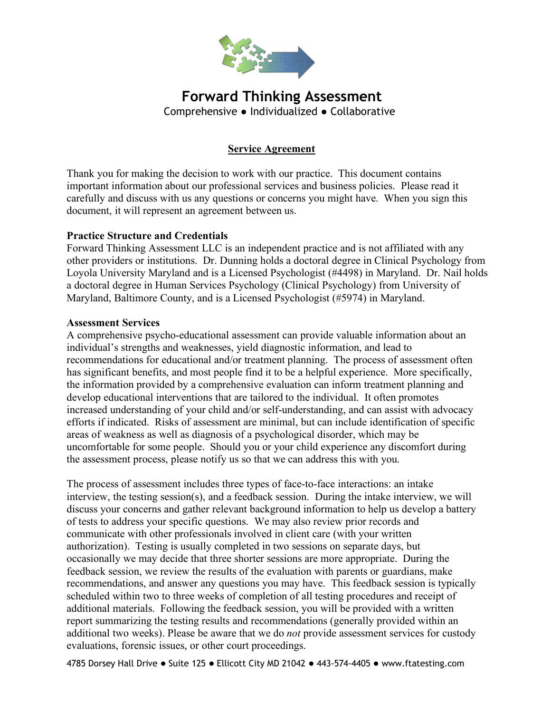

# **Forward Thinking Assessment** Comprehensive ● Individualized ● Collaborative

# **Service Agreement**

Thank you for making the decision to work with our practice. This document contains important information about our professional services and business policies. Please read it carefully and discuss with us any questions or concerns you might have. When you sign this document, it will represent an agreement between us.

## **Practice Structure and Credentials**

Forward Thinking Assessment LLC is an independent practice and is not affiliated with any other providers or institutions. Dr. Dunning holds a doctoral degree in Clinical Psychology from Loyola University Maryland and is a Licensed Psychologist (#4498) in Maryland. Dr. Nail holds a doctoral degree in Human Services Psychology (Clinical Psychology) from University of Maryland, Baltimore County, and is a Licensed Psychologist (#5974) in Maryland.

## **Assessment Services**

A comprehensive psycho-educational assessment can provide valuable information about an individual's strengths and weaknesses, yield diagnostic information, and lead to recommendations for educational and/or treatment planning. The process of assessment often has significant benefits, and most people find it to be a helpful experience. More specifically, the information provided by a comprehensive evaluation can inform treatment planning and develop educational interventions that are tailored to the individual. It often promotes increased understanding of your child and/or self-understanding, and can assist with advocacy efforts if indicated. Risks of assessment are minimal, but can include identification of specific areas of weakness as well as diagnosis of a psychological disorder, which may be uncomfortable for some people. Should you or your child experience any discomfort during the assessment process, please notify us so that we can address this with you.

The process of assessment includes three types of face-to-face interactions: an intake interview, the testing session(s), and a feedback session. During the intake interview, we will discuss your concerns and gather relevant background information to help us develop a battery of tests to address your specific questions. We may also review prior records and communicate with other professionals involved in client care (with your written authorization). Testing is usually completed in two sessions on separate days, but occasionally we may decide that three shorter sessions are more appropriate. During the feedback session, we review the results of the evaluation with parents or guardians, make recommendations, and answer any questions you may have. This feedback session is typically scheduled within two to three weeks of completion of all testing procedures and receipt of additional materials. Following the feedback session, you will be provided with a written report summarizing the testing results and recommendations (generally provided within an additional two weeks). Please be aware that we do *not* provide assessment services for custody evaluations, forensic issues, or other court proceedings.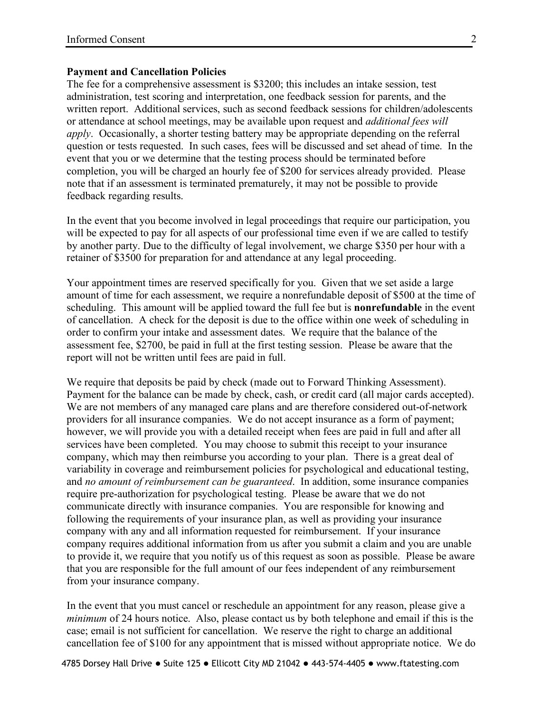#### **Payment and Cancellation Policies**

The fee for a comprehensive assessment is \$3200; this includes an intake session, test administration, test scoring and interpretation, one feedback session for parents, and the written report. Additional services, such as second feedback sessions for children/adolescents or attendance at school meetings, may be available upon request and *additional fees will apply*. Occasionally, a shorter testing battery may be appropriate depending on the referral question or tests requested. In such cases, fees will be discussed and set ahead of time. In the event that you or we determine that the testing process should be terminated before completion, you will be charged an hourly fee of \$200 for services already provided. Please note that if an assessment is terminated prematurely, it may not be possible to provide feedback regarding results.

In the event that you become involved in legal proceedings that require our participation, you will be expected to pay for all aspects of our professional time even if we are called to testify by another party. Due to the difficulty of legal involvement, we charge \$350 per hour with a retainer of \$3500 for preparation for and attendance at any legal proceeding.

Your appointment times are reserved specifically for you. Given that we set aside a large amount of time for each assessment, we require a nonrefundable deposit of \$500 at the time of scheduling. This amount will be applied toward the full fee but is **nonrefundable** in the event of cancellation. A check for the deposit is due to the office within one week of scheduling in order to confirm your intake and assessment dates. We require that the balance of the assessment fee, \$2700, be paid in full at the first testing session. Please be aware that the report will not be written until fees are paid in full.

We require that deposits be paid by check (made out to Forward Thinking Assessment). Payment for the balance can be made by check, cash, or credit card (all major cards accepted). We are not members of any managed care plans and are therefore considered out-of-network providers for all insurance companies. We do not accept insurance as a form of payment; however, we will provide you with a detailed receipt when fees are paid in full and after all services have been completed. You may choose to submit this receipt to your insurance company, which may then reimburse you according to your plan. There is a great deal of variability in coverage and reimbursement policies for psychological and educational testing, and *no amount of reimbursement can be guaranteed*. In addition, some insurance companies require pre-authorization for psychological testing. Please be aware that we do not communicate directly with insurance companies. You are responsible for knowing and following the requirements of your insurance plan, as well as providing your insurance company with any and all information requested for reimbursement. If your insurance company requires additional information from us after you submit a claim and you are unable to provide it, we require that you notify us of this request as soon as possible. Please be aware that you are responsible for the full amount of our fees independent of any reimbursement from your insurance company.

In the event that you must cancel or reschedule an appointment for any reason, please give a *minimum* of 24 hours notice. Also, please contact us by both telephone and email if this is the case; email is not sufficient for cancellation. We reserve the right to charge an additional cancellation fee of \$100 for any appointment that is missed without appropriate notice. We do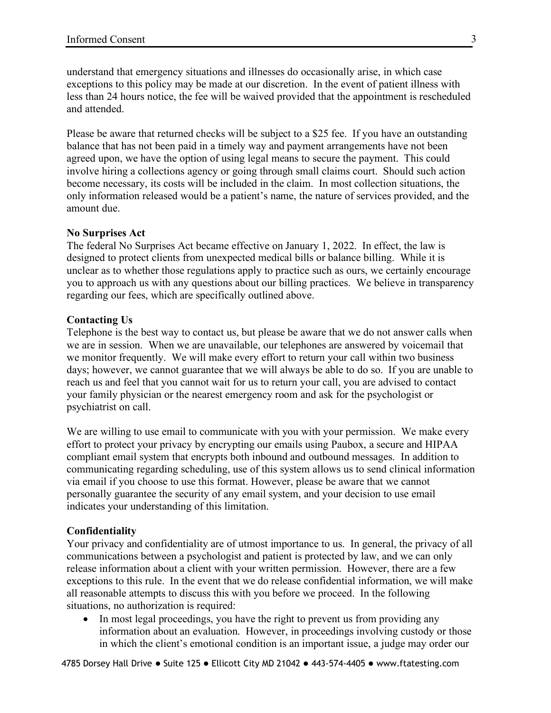understand that emergency situations and illnesses do occasionally arise, in which case exceptions to this policy may be made at our discretion. In the event of patient illness with less than 24 hours notice, the fee will be waived provided that the appointment is rescheduled and attended.

Please be aware that returned checks will be subject to a \$25 fee. If you have an outstanding balance that has not been paid in a timely way and payment arrangements have not been agreed upon, we have the option of using legal means to secure the payment. This could involve hiring a collections agency or going through small claims court. Should such action become necessary, its costs will be included in the claim. In most collection situations, the only information released would be a patient's name, the nature of services provided, and the amount due.

### **No Surprises Act**

The federal No Surprises Act became effective on January 1, 2022. In effect, the law is designed to protect clients from unexpected medical bills or balance billing. While it is unclear as to whether those regulations apply to practice such as ours, we certainly encourage you to approach us with any questions about our billing practices. We believe in transparency regarding our fees, which are specifically outlined above.

### **Contacting Us**

Telephone is the best way to contact us, but please be aware that we do not answer calls when we are in session. When we are unavailable, our telephones are answered by voicemail that we monitor frequently. We will make every effort to return your call within two business days; however, we cannot guarantee that we will always be able to do so. If you are unable to reach us and feel that you cannot wait for us to return your call, you are advised to contact your family physician or the nearest emergency room and ask for the psychologist or psychiatrist on call.

We are willing to use email to communicate with you with your permission. We make every effort to protect your privacy by encrypting our emails using Paubox, a secure and HIPAA compliant email system that encrypts both inbound and outbound messages. In addition to communicating regarding scheduling, use of this system allows us to send clinical information via email if you choose to use this format. However, please be aware that we cannot personally guarantee the security of any email system, and your decision to use email indicates your understanding of this limitation.

### **Confidentiality**

Your privacy and confidentiality are of utmost importance to us. In general, the privacy of all communications between a psychologist and patient is protected by law, and we can only release information about a client with your written permission. However, there are a few exceptions to this rule. In the event that we do release confidential information, we will make all reasonable attempts to discuss this with you before we proceed. In the following situations, no authorization is required:

• In most legal proceedings, you have the right to prevent us from providing any information about an evaluation. However, in proceedings involving custody or those in which the client's emotional condition is an important issue, a judge may order our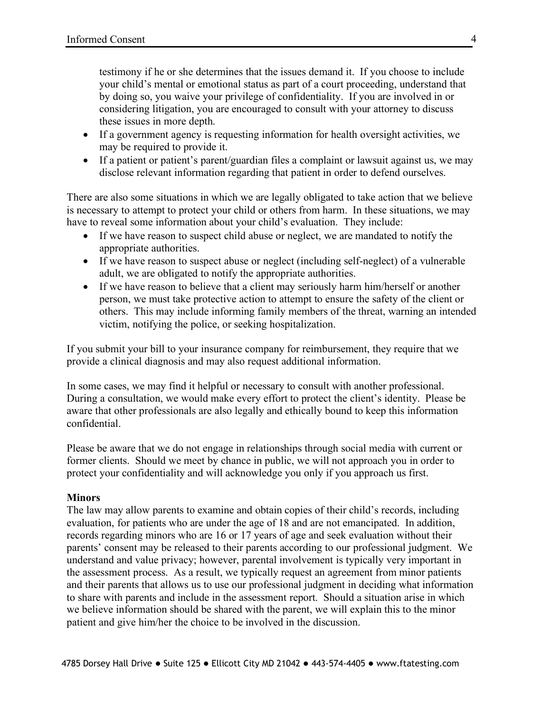testimony if he or she determines that the issues demand it. If you choose to include your child's mental or emotional status as part of a court proceeding, understand that by doing so, you waive your privilege of confidentiality. If you are involved in or considering litigation, you are encouraged to consult with your attorney to discuss these issues in more depth.

- If a government agency is requesting information for health oversight activities, we may be required to provide it.
- If a patient or patient's parent/guardian files a complaint or lawsuit against us, we may disclose relevant information regarding that patient in order to defend ourselves.

There are also some situations in which we are legally obligated to take action that we believe is necessary to attempt to protect your child or others from harm. In these situations, we may have to reveal some information about your child's evaluation. They include:

- If we have reason to suspect child abuse or neglect, we are mandated to notify the appropriate authorities.
- If we have reason to suspect abuse or neglect (including self-neglect) of a vulnerable adult, we are obligated to notify the appropriate authorities.
- If we have reason to believe that a client may seriously harm him/herself or another person, we must take protective action to attempt to ensure the safety of the client or others. This may include informing family members of the threat, warning an intended victim, notifying the police, or seeking hospitalization.

If you submit your bill to your insurance company for reimbursement, they require that we provide a clinical diagnosis and may also request additional information.

In some cases, we may find it helpful or necessary to consult with another professional. During a consultation, we would make every effort to protect the client's identity. Please be aware that other professionals are also legally and ethically bound to keep this information confidential.

Please be aware that we do not engage in relationships through social media with current or former clients. Should we meet by chance in public, we will not approach you in order to protect your confidentiality and will acknowledge you only if you approach us first.

## **Minors**

The law may allow parents to examine and obtain copies of their child's records, including evaluation, for patients who are under the age of 18 and are not emancipated. In addition, records regarding minors who are 16 or 17 years of age and seek evaluation without their parents' consent may be released to their parents according to our professional judgment. We understand and value privacy; however, parental involvement is typically very important in the assessment process. As a result, we typically request an agreement from minor patients and their parents that allows us to use our professional judgment in deciding what information to share with parents and include in the assessment report. Should a situation arise in which we believe information should be shared with the parent, we will explain this to the minor patient and give him/her the choice to be involved in the discussion.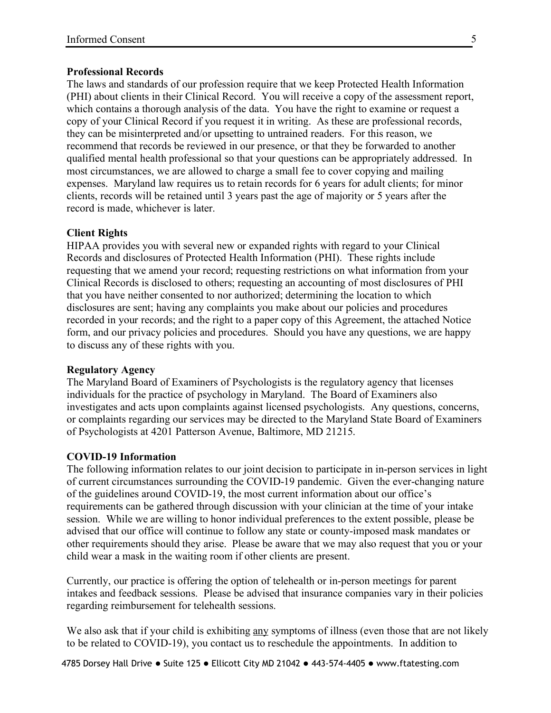### **Professional Records**

The laws and standards of our profession require that we keep Protected Health Information (PHI) about clients in their Clinical Record. You will receive a copy of the assessment report, which contains a thorough analysis of the data. You have the right to examine or request a copy of your Clinical Record if you request it in writing. As these are professional records, they can be misinterpreted and/or upsetting to untrained readers. For this reason, we recommend that records be reviewed in our presence, or that they be forwarded to another qualified mental health professional so that your questions can be appropriately addressed. In most circumstances, we are allowed to charge a small fee to cover copying and mailing expenses. Maryland law requires us to retain records for 6 years for adult clients; for minor clients, records will be retained until 3 years past the age of majority or 5 years after the record is made, whichever is later.

### **Client Rights**

HIPAA provides you with several new or expanded rights with regard to your Clinical Records and disclosures of Protected Health Information (PHI). These rights include requesting that we amend your record; requesting restrictions on what information from your Clinical Records is disclosed to others; requesting an accounting of most disclosures of PHI that you have neither consented to nor authorized; determining the location to which disclosures are sent; having any complaints you make about our policies and procedures recorded in your records; and the right to a paper copy of this Agreement, the attached Notice form, and our privacy policies and procedures. Should you have any questions, we are happy to discuss any of these rights with you.

#### **Regulatory Agency**

The Maryland Board of Examiners of Psychologists is the regulatory agency that licenses individuals for the practice of psychology in Maryland. The Board of Examiners also investigates and acts upon complaints against licensed psychologists. Any questions, concerns, or complaints regarding our services may be directed to the Maryland State Board of Examiners of Psychologists at 4201 Patterson Avenue, Baltimore, MD 21215.

#### **COVID-19 Information**

The following information relates to our joint decision to participate in in-person services in light of current circumstances surrounding the COVID-19 pandemic. Given the ever-changing nature of the guidelines around COVID-19, the most current information about our office's requirements can be gathered through discussion with your clinician at the time of your intake session. While we are willing to honor individual preferences to the extent possible, please be advised that our office will continue to follow any state or county-imposed mask mandates or other requirements should they arise. Please be aware that we may also request that you or your child wear a mask in the waiting room if other clients are present.

Currently, our practice is offering the option of telehealth or in-person meetings for parent intakes and feedback sessions. Please be advised that insurance companies vary in their policies regarding reimbursement for telehealth sessions.

We also ask that if your child is exhibiting any symptoms of illness (even those that are not likely to be related to COVID-19), you contact us to reschedule the appointments. In addition to